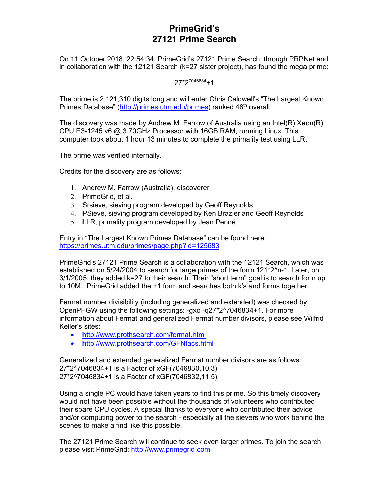## **PrimeGrid's 27121 Prime Search**

On 11 October 2018, 22:54:34, PrimeGrid's 27121 Prime Search, through PRPNet and in collaboration with the 12121 Search (k=27 sister project), has found the mega prime:

 $27*2^{7046834}+1$ 

The prime is 2,121,310 digits long and will enter Chris Caldwell's "The Largest Known Primes Database" (http://primes.utm.edu/primes) ranked 48<sup>th</sup> overall.

The discovery was made by Andrew M. Farrow of Australia using an Intel $(R)$  Xeon $(R)$ CPU E3-1245 v6 @ 3.70GHz Processor with 16GB RAM, running Linux. This computer took about 1 hour 13 minutes to complete the primality test using LLR.

The prime was verified internally.

Credits for the discovery are as follows:

- 1. Andrew M. Farrow (Australia), discoverer
- 2. PrimeGrid, et al.
- 3. Srsieve, sieving program developed by Geoff Reynolds
- 4. PSieve, sieving program developed by Ken Brazier and Geoff Reynolds
- 5. LLR, primality program developed by Jean Penné

Entry in "The Largest Known Primes Database" can be found here: https://primes.utm.edu/primes/page.php?id=125683

PrimeGrid's 27121 Prime Search is a collaboration with the 12121 Search, which was established on 5/24/2004 to search for large primes of the form 121\*2^n-1. Later, on 3/1/2005, they added k=27 to their search. Their "short term" goal is to search for n up to 10M. PrimeGrid added the +1 form and searches both k's and forms together.

Fermat number divisibility (including generalized and extended) was checked by OpenPFGW using the following settings: -gxo -q27\*2^7046834+1. For more information about Fermat and generalized Fermat number divisors, please see Wilfrid Keller's sites:

- http://www.prothsearch.com/fermat.html
- http://www.prothsearch.com/GFNfacs.html

Generalized and extended generalized Fermat number divisors are as follows: 27\*2^7046834+1 is a Factor of xGF(7046830,10,3) 27\*2^7046834+1 is a Factor of xGF(7046832,11,5)

Using a single PC would have taken years to find this prime. So this timely discovery would not have been possible without the thousands of volunteers who contributed their spare CPU cycles. A special thanks to everyone who contributed their advice and/or computing power to the search - especially all the sievers who work behind the scenes to make a find like this possible.

The 27121 Prime Search will continue to seek even larger primes. To join the search please visit PrimeGrid: http://www.primegrid.com